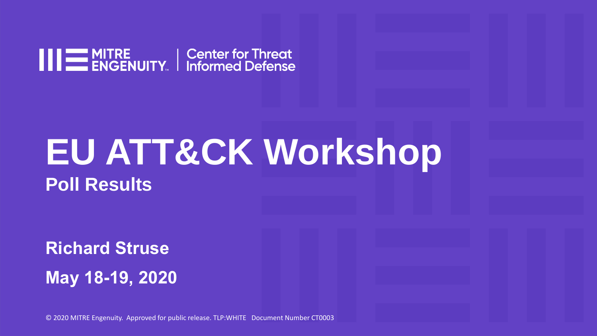

# **EU ATT&CK Workshop Poll Results**

**May 18-19, 2020 Richard Struse**

© 2020 MITRE Engenuity. Approved for public release. TLP:WHITE Document Number CT0003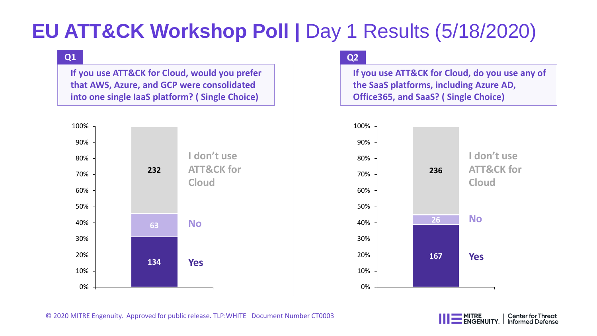# **EU ATT&CK Workshop Poll | Day 1 Results (5/18/2020)**

### **Q1**

**If you use ATT&CK for Cloud, would you prefer that AWS, Azure, and GCP were consolidated into one single IaaS platform? ( Single Choice)**



### **Q2**

**If you use ATT&CK for Cloud, do you use any of the SaaS platforms, including Azure AD, Office365, and SaaS? ( Single Choice)**



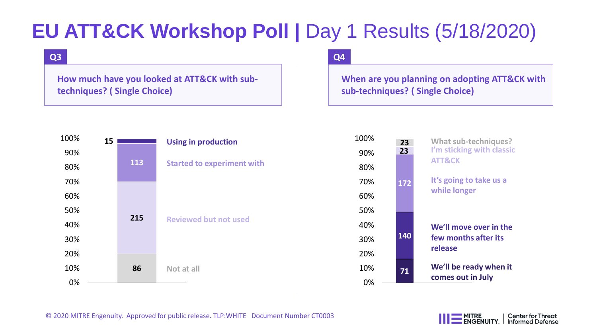# **EU ATT&CK Workshop Poll | Day 1 Results (5/18/2020)**

### **Q3**

**How much have you looked at ATT&CK with subtechniques? ( Single Choice)**



### **Q4**

**When are you planning on adopting ATT&CK with sub-techniques? ( Single Choice)**

| 100% | 23  | <b>What sub-techniques?</b>                    |
|------|-----|------------------------------------------------|
| 90%  | 23  | I'm sticking with classic<br><b>ATT&amp;CK</b> |
| 80%  |     |                                                |
| 70%  | 172 | It's going to take us a                        |
| 60%  |     | while longer                                   |
| 50%  |     |                                                |
| 40%  |     | We'll move over in the<br>few months after its |
| 30%  | 140 |                                                |
| 20%  |     | release                                        |
| 10%  | 71  | We'll be ready when it                         |
| 0%   |     | comes out in July                              |

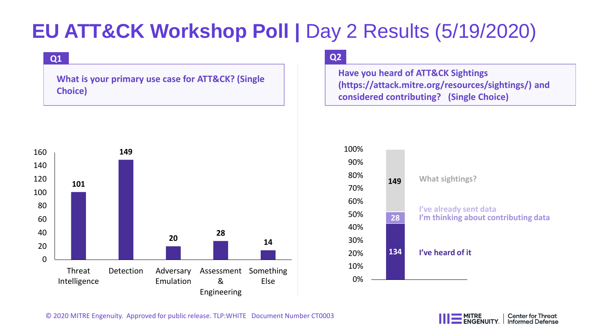# **EU ATT&CK Workshop Poll |** Day 2 Results (5/19/2020)

#### **Q1**

**What is your primary use case for ATT&CK? (Single Choice)**



### **Q2**

**Have you heard of ATT&CK Sightings (https://attack.mitre.org/resources/sightings/) and considered contributing? (Single Choice)**





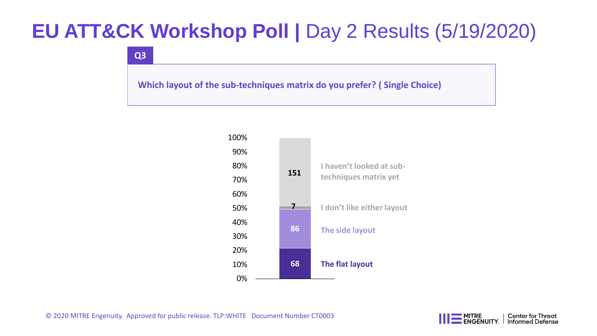# **EU ATT&CK Workshop Poll |** Day 2 Results (5/19/2020)

**Q3**

**Which layout of the sub-techniques matrix do you prefer? ( Single Choice)**